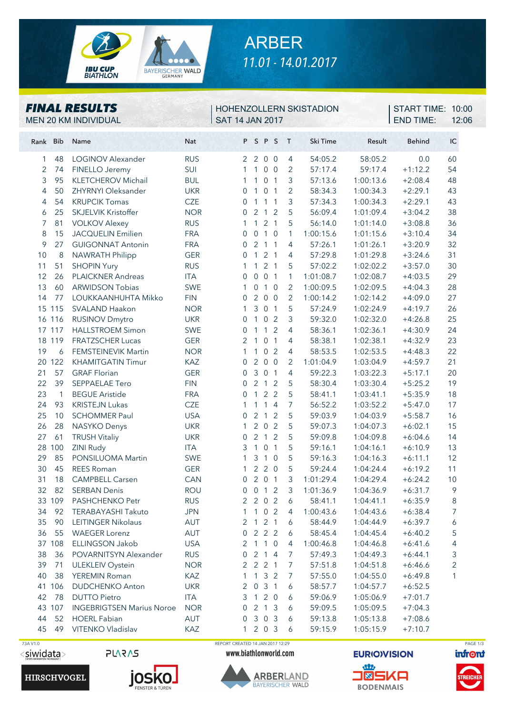

## ARBER *11.01 - 14.01.2017*

#### *FINAL RESULTS*

MEN 20 KM INDIVIDUAL SAT 14 JAN 2017

#### HOHENZOLLERN SKISTADION

END TIME: 12:06 **START TIME: 10:00** 

| Rank Bib       |                | Name                                                    | Nat        |                       |                | PSPS                |                | $\top$         | Ski Time  | Result    | <b>Behind</b> | IC             |
|----------------|----------------|---------------------------------------------------------|------------|-----------------------|----------------|---------------------|----------------|----------------|-----------|-----------|---------------|----------------|
| 1              | 48             | <b>LOGINOV Alexander</b>                                | <b>RUS</b> | $\overline{2}$        | $\overline{2}$ |                     | 0 <sub>0</sub> | 4              | 54:05.2   | 58:05.2   | 0.0           | 60             |
| $\overline{2}$ | 74             | FINELLO Jeremy                                          | SUI        | $\mathbf{1}$          | $\mathbf{1}$   |                     | 0 <sub>0</sub> | 2              | 57:17.4   | 59:17.4   | $+1:12.2$     | 54             |
| 3              | 95             | <b>KLETCHEROV Michail</b>                               | <b>BUL</b> | 1                     | $\mathbf{1}$   |                     | 0 <sub>1</sub> | 3              | 57:13.6   | 1:00:13.6 | $+2:08.4$     | 48             |
| 4              | 50             | ZHYRNYI Oleksander                                      | <b>UKR</b> | 0                     | $\mathbf{1}$   |                     | 0 <sub>1</sub> | 2              | 58:34.3   | 1:00:34.3 | $+2:29.1$     | 43             |
| 4              | 54             | <b>KRUPCIK Tomas</b>                                    | <b>CZE</b> | 0                     | $\mathbf{1}$   |                     | $1\quad1$      | 3              | 57:34.3   | 1:00:34.3 | $+2:29.1$     | 43             |
| 6              | 25             | <b>SKJELVIK Kristoffer</b>                              | <b>NOR</b> | 0                     | $\overline{2}$ |                     | $1\quad2$      | 5              | 56:09.4   | 1:01:09.4 | $+3:04.2$     | 38             |
| 7              | 81             | <b>VOLKOV Alexey</b>                                    | <b>RUS</b> | 1                     | $\mathbf{1}$   |                     | 2 <sub>1</sub> | 5              | 56:14.0   | 1:01:14.0 | $+3:08.8$     | 36             |
| 8              | 15             | <b>JACQUELIN Emilien</b>                                | <b>FRA</b> | 0                     | $\mathbf 0$    |                     | $1\quad0$      | $\mathbf{1}$   | 1:00:15.6 | 1:01:15.6 | $+3:10.4$     | 34             |
| 9              | 27             | <b>GUIGONNAT Antonin</b>                                | <b>FRA</b> | 0                     | $\overline{2}$ |                     | 1 <sub>1</sub> | 4              | 57:26.1   | 1:01:26.1 | $+3:20.9$     | 32             |
| 10             | 8              | <b>NAWRATH Philipp</b>                                  | <b>GER</b> | $\overline{0}$        | $\mathbf{1}$   |                     | 2 <sub>1</sub> | 4              | 57:29.8   | 1:01:29.8 | $+3:24.6$     | 31             |
| 11             | 51             | <b>SHOPIN Yury</b>                                      | <b>RUS</b> | 1                     | $\mathbf{1}$   |                     | 2 <sub>1</sub> | 5              | 57:02.2   | 1:02:02.2 | $+3:57.0$     | 30             |
| 12             | 26             | <b>PLAICKNER Andreas</b>                                | <b>ITA</b> | $\overline{0}$        | $\overline{0}$ |                     | 0 <sub>1</sub> | 1              | 1:01:08.7 | 1:02:08.7 | $+4:03.5$     | 29             |
| 13             | 60             | <b>ARWIDSON Tobias</b>                                  | SWE        | 1                     | $\overline{0}$ |                     | $1\quad0$      | $\overline{2}$ | 1:00:09.5 | 1:02:09.5 | $+4:04.3$     | 28             |
| 14             | 77             | LOUKKAANHUHTA Mikko                                     | <b>FIN</b> | $\overline{0}$        | $\overline{2}$ | $\overline{0}$      | $\overline{0}$ | $\overline{2}$ | 1:00:14.2 | 1:02:14.2 | $+4:09.0$     | 27             |
|                | 15 115         | SVALAND Haakon                                          | <b>NOR</b> | 1                     | 3              |                     | 0 <sub>1</sub> | 5              | 57:24.9   | 1:02:24.9 | $+4:19.7$     | 26             |
|                | 16 116         | <b>RUSINOV Dmytro</b>                                   | <b>UKR</b> | $\mathbf 0$           | $\mathbf{1}$   | $\overline{0}$      | $\overline{2}$ | 3              | 59:32.0   | 1:02:32.0 | $+4:26.8$     | 25             |
|                | 17 117         | <b>HALLSTROEM Simon</b>                                 | SWE        | 0                     | 1              | $\mathbf{1}$        | 2              | $\overline{4}$ | 58:36.1   | 1:02:36.1 | $+4:30.9$     | 24             |
|                | 18 119         | <b>FRATZSCHER Lucas</b>                                 | <b>GER</b> | 2                     | $\mathbf{1}$   |                     | 0 <sub>1</sub> | 4              | 58:38.1   | 1:02:38.1 | $+4:32.9$     | 23             |
| 19             | 6              | <b>FEMSTEINEVIK Martin</b>                              | <b>NOR</b> | 1                     | 1              | $\overline{0}$      | 2              | 4              | 58:53.5   | 1:02:53.5 | $+4:48.3$     | 22             |
|                | 20 122         | <b>KHAMITGATIN Timur</b>                                | KAZ        | $\mathbf{0}$          | $\overline{2}$ |                     | 0 <sub>0</sub> | 2              | 1:01:04.9 | 1:03:04.9 | $+4:59.7$     | 21             |
| 21             | 57             | <b>GRAF Florian</b>                                     | <b>GER</b> | $\overline{0}$        | $\mathfrak{Z}$ |                     | 0 <sub>1</sub> | $\overline{4}$ | 59:22.3   | 1:03:22.3 | $+5:17.1$     | 20             |
| 22             | 39             | SEPPAELAE Tero                                          | <b>FIN</b> | $\overline{0}$        | 2              |                     | 1 <sub>2</sub> | 5              | 58:30.4   | 1:03:30.4 | $+5:25.2$     | 19             |
| 23             | $\overline{1}$ | <b>BEGUE Aristide</b>                                   | <b>FRA</b> | $\overline{0}$        | 1              |                     | 2 <sub>2</sub> | 5              | 58:41.1   | 1:03:41.1 | $+5:35.9$     | 18             |
| 24             | 93             | <b>KRISTEJN Lukas</b>                                   | <b>CZE</b> | 1                     | $\mathbf{1}$   | $\mathbf{1}$        | $\overline{4}$ | 7              | 56:52.2   | 1:03:52.2 | $+5:47.0$     | 17             |
| 25             | 10             | <b>SCHOMMER Paul</b>                                    | <b>USA</b> | 0                     | $\overline{2}$ | $\overline{1}$      | 2              | 5              | 59:03.9   | 1:04:03.9 | $+5:58.7$     | 16             |
| 26             | 28             | <b>NASYKO Denys</b>                                     | <b>UKR</b> | 1                     | $\overline{2}$ | $\overline{0}$      | 2              | 5              | 59:07.3   | 1:04:07.3 | $+6:02.1$     | 15             |
| 27             | 61             | <b>TRUSH Vitaliy</b>                                    | <b>UKR</b> | $\overline{0}$        | $\overline{2}$ | $\mathbf{1}$        | 2              | 5              | 59:09.8   | 1:04:09.8 | $+6:04.6$     | 14             |
| 28             | 100            | <b>ZINI Rudy</b>                                        | <b>ITA</b> | 3                     | $\mathbf{1}$   | $\mathsf{O}\xspace$ | $\overline{1}$ | 5              | 59:16.1   | 1:04:16.1 | $+6:10.9$     | 13             |
| 29             | 85             | PONSILUOMA Martin                                       | SWE        | 1                     | $\mathfrak{Z}$ | $\overline{1}$      | $\overline{0}$ | 5              | 59:16.3   | 1:04:16.3 | $+6:11.1$     | 12             |
| 30             | 45             | <b>REES Roman</b>                                       | <b>GER</b> | 1                     |                | 220                 |                | 5              | 59:24.4   | 1:04:24.4 | $+6:19.2$     | 11             |
| 31             | 18             | <b>CAMPBELL Carsen</b>                                  | CAN        | $\overline{0}$        |                | 201                 |                | 3              | 1:01:29.4 | 1:04:29.4 | $+6:24.2$     | 10             |
| 32             | 82             | <b>SERBAN Denis</b>                                     | <b>ROU</b> | 0                     |                | $0$ 1 2             |                | 3              | 1:01:36.9 | 1:04:36.9 | $+6:31.7$     | 9              |
|                | 33 109         | PASHCHENKO Petr                                         | <b>RUS</b> | $\overline{2}$        |                | 202                 |                | 6              | 58:41.1   | 1:04:41.1 | $+6:35.9$     | 8              |
| 34             | 92             | TERABAYASHI Takuto                                      | <b>JPN</b> |                       |                | 1 1 0 2             |                | 4              | 1:00:43.6 | 1:04:43.6 | $+6:38.4$     | $\overline{7}$ |
| 35             | 90             | LEITINGER Nikolaus                                      | AUT        | 2                     |                | 121                 |                | 6              | 58:44.9   | 1:04:44.9 | $+6:39.7$     | 6              |
| 36             | 55             | <b>WAEGER Lorenz</b><br>ELLINGSON Jakob                 | AUT        | 0                     |                | $2 \quad 2 \quad 2$ |                | 6              | 58:45.4   | 1:04:45.4 | $+6:40.2$     | 5              |
|                | 37 108         |                                                         | <b>USA</b> | 2                     | $\overline{1}$ |                     | $1\quad0$      | 4              | 1:00:46.8 | 1:04:46.8 | $+6:41.6$     | 4              |
| 38             | 36             | POVARNITSYN Alexander                                   | <b>RUS</b> | 0                     | $\overline{2}$ |                     | 14             | 7              | 57:49.3   | 1:04:49.3 | $+6:44.1$     | 3              |
| 39             | 71             | <b>ULEKLEIV Oystein</b>                                 | <b>NOR</b> | $\mathbf{2}^{\prime}$ |                | $2 \t2 \t1$         |                | 7              | 57:51.8   | 1:04:51.8 | $+6:46.6$     | 2              |
| 40             | 38             | YEREMIN Roman                                           | KAZ        | 1                     | $\mathbf{1}$   |                     | 3 <sup>2</sup> | 7              | 57:55.0   | 1:04:55.0 | $+6:49.8$     | 1              |
|                | 41 106         | <b>DUDCHENKO Anton</b>                                  | <b>UKR</b> | 2                     | $\overline{0}$ |                     | 3 <sub>1</sub> | 6              | 58:57.7   | 1:04:57.7 | $+6:52.5$     |                |
| 42             | 78             | <b>DUTTO Pietro</b><br><b>INGEBRIGTSEN Marius Noroe</b> | <b>ITA</b> | 3                     | $\mathbf{1}$   |                     | $2\ 0$         | 6              | 59:06.9   | 1:05:06.9 | $+7:01.7$     |                |
|                | 43 107         |                                                         | <b>NOR</b> | 0                     |                | $2 \t1 \t3$         |                | 6              | 59:09.5   | 1:05:09.5 | $+7:04.3$     |                |
| 44             | 52             | <b>HOERL Fabian</b>                                     | AUT        | 0                     |                | 3 0 3               |                | 6              | 59:13.8   | 1:05:13.8 | $+7:08.6$     |                |
| 45             | 49             | VITENKO Vladislav                                       | KAZ        | 1                     |                | 203                 |                | 6              | 59:15.9   | 1:05:15.9 | $+7:10.7$     |                |

<siwidata>





73A V1.0 REPORT CREATED 14 JAN 2017 12:29 PAGE 1/3

www.biathlonworld.com



**EURIO)VISION** 



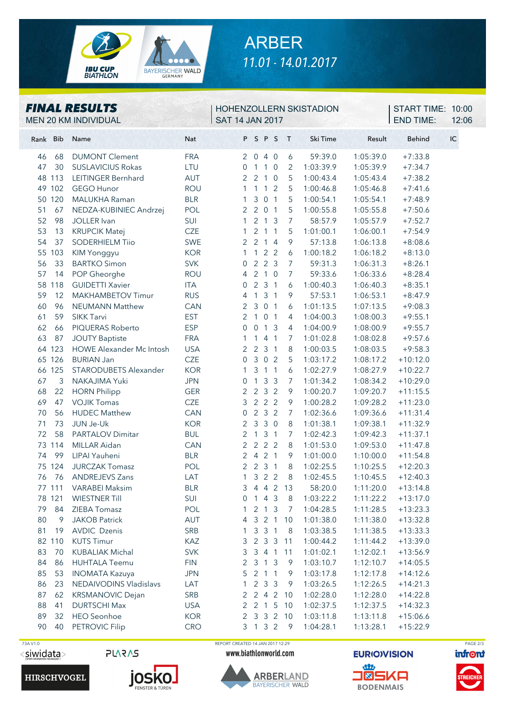

# ARBER *11.01 - 14.01.2017*

#### *FINAL RESULTS*

MEN 20 KM INDIVIDUAL SAT 14 JAN 2017

### HOHENZOLLERN SKISTADION

END TIME: 12:06 **START TIME: 10:00** 

| Rank Bib | Name                         | Nat        |                | PSPS                |                |                | $\top$         | Ski Time  | Result    | <b>Behind</b><br>IC |
|----------|------------------------------|------------|----------------|---------------------|----------------|----------------|----------------|-----------|-----------|---------------------|
| 46<br>68 | <b>DUMONT Clement</b>        | <b>FRA</b> | $\overline{2}$ | 040                 |                |                | 6              | 59:39.0   | 1:05:39.0 | $+7:33.8$           |
| 30<br>47 | <b>SUSLAVICIUS Rokas</b>     | LTU        | 0              | 1                   | $\mathbf{1}$   | $\overline{0}$ | 2              | 1:03:39.9 | 1:05:39.9 | $+7:34.7$           |
| 48 113   | LEITINGER Bernhard           | AUT        | 2              | 2 <sub>1</sub>      |                | $\overline{0}$ | 5              | 1:00:43.4 | 1:05:43.4 | $+7:38.2$           |
| 49 102   | <b>GEGO Hunor</b>            | <b>ROU</b> | $\mathbf{1}$   | $1\quad1$           |                | 2              | 5              | 1:00:46.8 | 1:05:46.8 | $+7:41.6$           |
| 50 120   | MALUKHA Raman                | <b>BLR</b> | 1              | 30                  |                | $\overline{1}$ | 5              | 1:00:54.1 | 1:05:54.1 | $+7:48.9$           |
| 51<br>67 | NEDZA-KUBINIEC Andrzej       | POL        |                | $2 \quad 2 \quad 0$ |                | $\overline{1}$ | 5              | 1:00:55.8 | 1:05:55.8 | $+7:50.6$           |
| 52<br>98 | JOLLER Ivan                  | SUI        | 1              | 2 <sub>1</sub>      |                | 3              | $\overline{7}$ | 58:57.9   | 1:05:57.9 | $+7:52.7$           |
| 53<br>13 | <b>KRUPCIK Matej</b>         | <b>CZE</b> | 1              | 2 <sub>1</sub>      |                | $\overline{1}$ | 5              | 1:01:00.1 | 1:06:00.1 | $+7:54.9$           |
| 54<br>37 | <b>SODERHIELM Tiio</b>       | <b>SWE</b> | $\overline{2}$ | 2 <sub>1</sub>      |                | $\overline{4}$ | 9              | 57:13.8   | 1:06:13.8 | $+8:08.6$           |
| 55 103   | KIM Yonggyu                  | <b>KOR</b> | $\mathbf{1}$   | $\mathbf{1}$        | 2 <sub>2</sub> |                | 6              | 1:00:18.2 | 1:06:18.2 | $+8:13.0$           |
| 33<br>56 | <b>BARTKO Simon</b>          | <b>SVK</b> | 0              | $\overline{2}$      | 2 <sub>3</sub> |                | $\overline{7}$ | 59:31.3   | 1:06:31.3 | $+8:26.1$           |
| 57<br>14 | POP Gheorghe                 | <b>ROU</b> | 4              | 210                 |                |                | $\overline{7}$ | 59:33.6   | 1:06:33.6 | $+8:28.4$           |
| 58 118   | <b>GUIDETTI Xavier</b>       | <b>ITA</b> | 0              | 231                 |                |                | 6              | 1:00:40.3 | 1:06:40.3 | $+8:35.1$           |
| 59<br>12 | MAKHAMBETOV Timur            | <b>RUS</b> | 4              | 131                 |                |                | 9              | 57:53.1   | 1:06:53.1 | $+8:47.9$           |
| 60<br>96 | <b>NEUMANN Matthew</b>       | CAN        | 2              | 3 0 1               |                |                | 6              | 1:01:13.5 | 1:07:13.5 | $+9:08.3$           |
| 61<br>59 | SIKK Tarvi                   | <b>EST</b> | 2              | $\mathbf{1}$        | $\overline{0}$ | $\sqrt{1}$     | 4              | 1:04:00.3 | 1:08:00.3 | $+9:55.1$           |
| 62<br>66 | PIQUERAS Roberto             | <b>ESP</b> | 0              | $\overline{0}$      | $\overline{1}$ | 3              | $\overline{4}$ | 1:04:00.9 | 1:08:00.9 | $+9:55.7$           |
| 63<br>87 | <b>JOUTY Baptiste</b>        | <b>FRA</b> | 1              | $\mathbf{1}$        | $\overline{4}$ | $\overline{1}$ | 7              | 1:01:02.8 | 1:08:02.8 | $+9:57.6$           |
| 64 123   | HOWE Alexander Mc Intosh     | <b>USA</b> | 2              | 2 <sub>3</sub>      |                | $\overline{1}$ | $\,8\,$        | 1:00:03.5 | 1:08:03.5 | $+9:58.3$           |
| 65 126   | <b>BURIAN Jan</b>            | <b>CZE</b> | 0              | 3 0 2               |                |                | 5              | 1:03:17.2 | 1:08:17.2 | $+10:12.0$          |
| 66 125   | <b>STARODUBETS Alexander</b> | <b>KOR</b> | 1              | 3                   | $\overline{1}$ | $\sqrt{1}$     | 6              | 1:02:27.9 | 1:08:27.9 | $+10:22.7$          |
| 67<br>3  | NAKAJIMA Yuki                | <b>JPN</b> | 0              | $\mathbf{1}$        | $\mathbf{3}$   | $\overline{3}$ | $\overline{7}$ | 1:01:34.2 | 1:08:34.2 | $+10:29.0$          |
| 68<br>22 | <b>HORN Philipp</b>          | <b>GER</b> | 2              | 2 3 2               |                |                | 9              | 1:00:20.7 | 1:09:20.7 | $+11:15.5$          |
| 69<br>47 | <b>VOJIK Tomas</b>           | <b>CZE</b> | 3              | 222                 |                |                | 9              | 1:00:28.2 | 1:09:28.2 | $+11:23.0$          |
| 70<br>56 | <b>HUDEC Matthew</b>         | CAN        | 0              | 232                 |                |                | $\overline{7}$ | 1:02:36.6 | 1:09:36.6 | $+11:31.4$          |
| 71<br>73 | JUN Je-Uk                    | <b>KOR</b> | $\overline{2}$ | $\mathbf{3}$        | 30             |                | 8              | 1:01:38.1 | 1:09:38.1 | $+11:32.9$          |
| 72<br>58 | <b>PARTALOV Dimitar</b>      | <b>BUL</b> | 2              | $\overline{1}$      | $\mathbf{3}$   | $\sqrt{1}$     | $\overline{7}$ | 1:02:42.3 | 1:09:42.3 | $+11:37.1$          |
| 73 114   | MILLAR Aidan                 | CAN        | 2              | 222                 |                |                | 8              | 1:01:53.0 | 1:09:53.0 | $+11:47.8$          |
| 74<br>99 | LIPAI Yauheni                | <b>BLR</b> | 2              | 4 2 1               |                |                | 9              | 1:01:00.0 | 1:10:00.0 | $+11:54.8$          |
| 75 124   | <b>JURCZAK Tomasz</b>        | POL        | 2              | $\overline{2}$      | $\mathbf{3}$   | $\sqrt{1}$     | 8              | 1:02:25.5 | 1:10:25.5 | $+12:20.3$          |
| 76<br>76 | <b>ANDREJEVS Zans</b>        | LAT        | 1              | $\mathfrak{Z}$      | 2 <sub>2</sub> |                | $\,8\,$        | 1:02:45.5 | 1:10:45.5 | $+12:40.3$          |
| 77 111   | <b>VARABEI Maksim</b>        | <b>BLR</b> | 3              | 4 4 2               |                |                | 13             | 58:20.0   | 1:11:20.0 | $+13:14.8$          |
| 78 121   | <b>WIESTNER Till</b>         | SUI        | 0              | 143                 |                |                | $8\,$          | 1:03:22.2 | 1:11:22.2 | $+13:17.0$          |
|          | 79 84 ZIEBA Tomasz           | POL        | $\mathbf{1}$   |                     |                | 2 1 3          | 7 <sup>7</sup> | 1:04:28.5 | 1:11:28.5 | $+13:23.3$          |
| 80<br>9  | <b>JAKOB Patrick</b>         | AUT        | 4              | 3 2 1               |                |                | 10             | 1:01:38.0 | 1:11:38.0 | $+13:32.8$          |
| 81<br>19 | <b>AVDIC Dzenis</b>          | SRB        |                | 3 <sup>3</sup>      |                | $\sqrt{1}$     | 8              | 1:03:38.5 | 1:11:38.5 | $+13:33.3$          |
| 82 110   | <b>KUTS Timur</b>            | KAZ        | 3              | 2 3 3               |                |                | 11             | 1:00:44.2 | 1:11:44.2 | $+13:39.0$          |
| 83<br>70 | <b>KUBALIAK Michal</b>       | <b>SVK</b> | 3              | 3 4 1               |                |                | 11             | 1:01:02.1 | 1:12:02.1 | $+13:56.9$          |
| 84<br>86 | <b>HUHTALA Teemu</b>         | <b>FIN</b> | 2              | 3                   | $\overline{1}$ | 3              | 9              | 1:03:10.7 | 1:12:10.7 | $+14:05.5$          |
| 85<br>53 | <b>INOMATA Kazuya</b>        | <b>JPN</b> | 5              | $\overline{2}$      | $\overline{1}$ | $\overline{1}$ | 9              | 1:03:17.8 | 1:12:17.8 | $+14:12.6$          |
| 86<br>23 | NEDAIVODINS Vladislavs       | LAT        | 1              | $\overline{2}$      | 3              | $\overline{3}$ | 9              | 1:03:26.5 | 1:12:26.5 | $+14:21.3$          |
| 87<br>62 | <b>KRSMANOVIC Dejan</b>      | SRB        | 2              | $242$               |                |                | - 10           | 1:02:28.0 | 1:12:28.0 | $+14:22.8$          |
| 88<br>41 | <b>DURTSCHI Max</b>          | <b>USA</b> | 2              | 2 1 5               |                |                | 10             | 1:02:37.5 | 1:12:37.5 | $+14:32.3$          |
| 89<br>32 | <b>HEO</b> Seonhoe           | <b>KOR</b> | 2              |                     |                |                | 3 3 2 10       | 1:03:11.8 | 1:13:11.8 | $+15:06.6$          |
| 90<br>40 | PETROVIC Filip               | <b>CRO</b> |                | 3 1 3 2             |                |                | 9              | 1:04:28.1 | 1:13:28.1 | $+15:22.9$          |







**PLARAS** 

 73A V1.0 REPORT CREATED 14 JAN 2017 12:29 PAGE 2/3www.biathlonworld.com

> **ARBERLAND BAYERISCHER WALD**